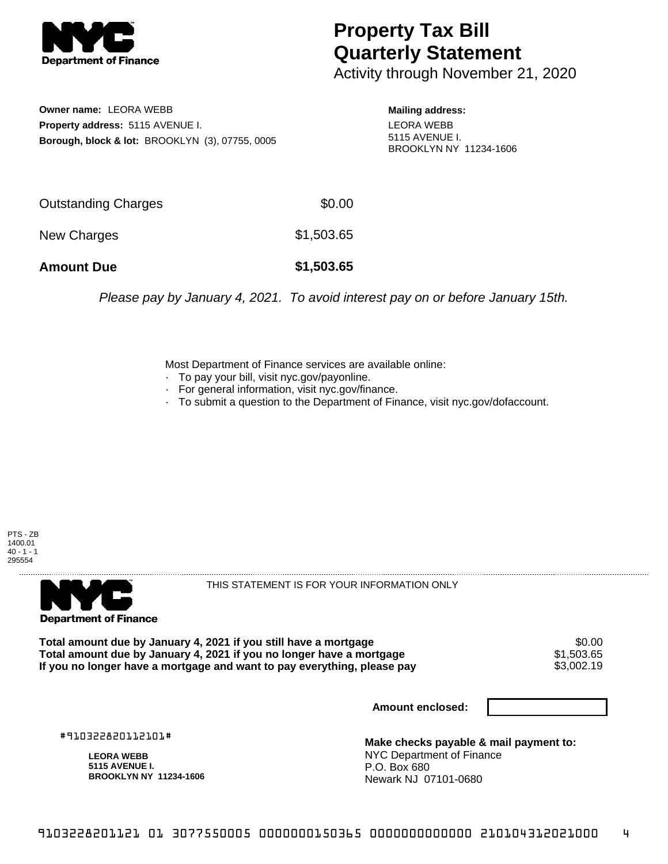

## **Property Tax Bill Quarterly Statement**

Activity through November 21, 2020

**Owner name:** LEORA WEBB **Property address:** 5115 AVENUE I. **Borough, block & lot:** BROOKLYN (3), 07755, 0005 **Mailing address:** LEORA WEBB 5115 AVENUE I. BROOKLYN NY 11234-1606

| <b>Amount Due</b>          | \$1,503.65 |
|----------------------------|------------|
| New Charges                | \$1,503.65 |
| <b>Outstanding Charges</b> | \$0.00     |

Please pay by January 4, 2021. To avoid interest pay on or before January 15th.

Most Department of Finance services are available online:

- · To pay your bill, visit nyc.gov/payonline.
- For general information, visit nyc.gov/finance.
- · To submit a question to the Department of Finance, visit nyc.gov/dofaccount.





THIS STATEMENT IS FOR YOUR INFORMATION ONLY

Total amount due by January 4, 2021 if you still have a mortgage \$0.00<br>Total amount due by January 4, 2021 if you no longer have a mortgage \$1.503.65 **Total amount due by January 4, 2021 if you no longer have a mortgage**  $$1,503.65$ **<br>If you no longer have a mortgage and want to pay everything, please pay**  $$3,002.19$ If you no longer have a mortgage and want to pay everything, please pay

**Amount enclosed:**

#910322820112101#

**LEORA WEBB 5115 AVENUE I. BROOKLYN NY 11234-1606**

**Make checks payable & mail payment to:** NYC Department of Finance P.O. Box 680 Newark NJ 07101-0680